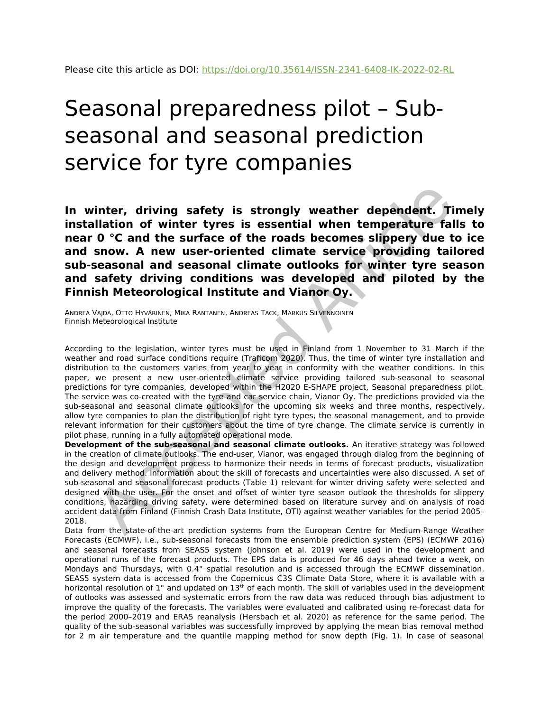# Seasonal preparedness pilot – Subseasonal and seasonal prediction service for tyre companies

**In winter, driving safety is strongly weather dependent. Timely installation of winter tyres is essential when temperature falls to near 0 °C and the surface of the roads becomes slippery due to ice and snow. A new user-oriented climate service providing tailored sub-seasonal and seasonal climate outlooks for winter tyre season and safety driving conditions was developed and piloted by the Finnish Meteorological Institute and Vianor Oy.**

ANDREA VAJDA, OTTO HYVÄRINEN, MIKA RANTANEN, ANDREAS TACK, MARKUS SILVENNOINEN Finnish Meteorological Institute

According to the legislation, winter tyres must be used in Finland from 1 November to 31 March if the weather and road surface conditions require (Traficom 2020). Thus, the time of winter tyre installation and distribution to the customers varies from year to year in conformity with the weather conditions. In this paper, we present a new user-oriented climate service providing tailored sub-seasonal to seasonal predictions for tyre companies, developed within the H2020 E-SHAPE project, Seasonal preparedness pilot. The service was co-created with the tyre and car service chain, Vianor Oy. The predictions provided via the sub-seasonal and seasonal climate outlooks for the upcoming six weeks and three months, respectively, allow tyre companies to plan the distribution of right tyre types, the seasonal management, and to provide relevant information for their customers about the time of tyre change. The climate service is currently in pilot phase, running in a fully automated operational mode. **Hindrer, driving safety is strongly weather dependent. Till<br>altion of winter tyres is essential when temperature fall<br>of**  $0$  **°C and the surface of the roads becomes slipperty due to<br>snow. A new user-oriented climate serv** 

**Development of the sub-seasonal and seasonal climate outlooks.** An iterative strategy was followed in the creation of climate outlooks. The end-user, Vianor, was engaged through dialog from the beginning of the design and development process to harmonize their needs in terms of forecast products, visualization and delivery method. Information about the skill of forecasts and uncertainties were also discussed. A set of sub-seasonal and seasonal forecast products (Table 1) relevant for winter driving safety were selected and designed with the user. For the onset and offset of winter tyre season outlook the thresholds for slippery conditions, hazarding driving safety, were determined based on literature survey and on analysis of road accident data from Finland (Finnish Crash Data Institute, OTI) against weather variables for the period 2005– 2018.

Data from the state-of-the-art prediction systems from the European Centre for Medium-Range Weather Forecasts (ECMWF), i.e., sub-seasonal forecasts from the ensemble prediction system (EPS) (ECMWF 2016) and seasonal forecasts from SEAS5 system (Johnson et al. 2019) were used in the development and operational runs of the forecast products. The EPS data is produced for 46 days ahead twice a week, on Mondays and Thursdays, with 0.4° spatial resolution and is accessed through the ECMWF dissemination. SEAS5 system data is accessed from the Copernicus C3S Climate Data Store, where it is available with a horizontal resolution of  $1^{\circ}$  and updated on  $13^{\text{th}}$  of each month. The skill of variables used in the development of outlooks was assessed and systematic errors from the raw data was reduced through bias adjustment to improve the quality of the forecasts. The variables were evaluated and calibrated using re-forecast data for the period 2000–2019 and ERA5 reanalysis (Hersbach et al. 2020) as reference for the same period. The quality of the sub-seasonal variables was successfully improved by applying the mean bias removal method for 2 m air temperature and the quantile mapping method for snow depth (Fig. 1). In case of seasonal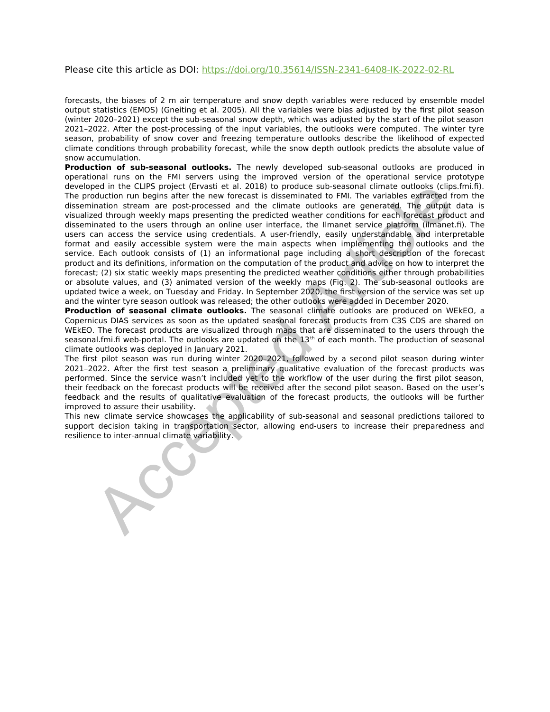Please cite this article as DOI: https://doi.org/10.35614/ISSN-2341-6408-IK-2022-02-RL

forecasts, the biases of 2 m air temperature and snow depth variables were reduced by ensemble model output statistics (EMOS) (Gneiting et al. 2005). All the variables were bias adjusted by the first pilot season (winter 2020–2021) except the sub-seasonal snow depth, which was adjusted by the start of the pilot season 2021–2022. After the post-processing of the input variables, the outlooks were computed. The winter tyre season, probability of snow cover and freezing temperature outlooks describe the likelihood of expected climate conditions through probability forecast, while the snow depth outlook predicts the absolute value of snow accumulation.

**Production of sub-seasonal outlooks.** The newly developed sub-seasonal outlooks are produced in operational runs on the FMI servers using the improved version of the operational service prototype developed in the CLIPS project (Ervasti et al. 2018) to produce sub-seasonal climate outlooks (clips.fmi.fi). The production run begins after the new forecast is disseminated to FMI. The variables extracted from the dissemination stream are post-processed and the climate outlooks are generated. The output data is visualized through weekly maps presenting the predicted weather conditions for each forecast product and disseminated to the users through an online user interface, the Ilmanet service platform (ilmanet.fi). The users can access the service using credentials. A user-friendly, easily understandable and interpretable format and easily accessible system were the main aspects when implementing the outlooks and the service. Each outlook consists of (1) an informational page including a short description of the forecast product and its definitions, information on the computation of the product and advice on how to interpret the forecast; (2) six static weekly maps presenting the predicted weather conditions either through probabilities or absolute values, and (3) animated version of the weekly maps (Fig. 2). The sub-seasonal outlooks are updated twice a week, on Tuesday and Friday. In September 2020, the first version of the service was set up and the winter tyre season outlook was released; the other outlooks were added in December 2020. each the CLIPS project (Ervastie tal. 2018) to produce sub-seasonal climate outlooks (clips)<br>and minimize the mean or post-processed and the climate outlooks are generated. The within<br>the variables extracted and the sub-sp

**Production of seasonal climate outlooks.** The seasonal climate outlooks are produced on WEkEO, a Copernicus DIAS services as soon as the updated seasonal forecast products from C3S CDS are shared on WEkEO. The forecast products are visualized through maps that are disseminated to the users through the seasonal.fmi.fi web-portal. The outlooks are updated on the  $13<sup>th</sup>$  of each month. The production of seasonal climate outlooks was deployed in January 2021.

The first pilot season was run during winter 2020–2021, followed by a second pilot season during winter 2021–2022. After the first test season a preliminary qualitative evaluation of the forecast products was performed. Since the service wasn't included yet to the workflow of the user during the first pilot season, their feedback on the forecast products will be received after the second pilot season. Based on the user's feedback and the results of qualitative evaluation of the forecast products, the outlooks will be further improved to assure their usability.

This new climate service showcases the applicability of sub-seasonal and seasonal predictions tailored to support decision taking in transportation sector, allowing end-users to increase their preparedness and resilience to inter-annual climate variability.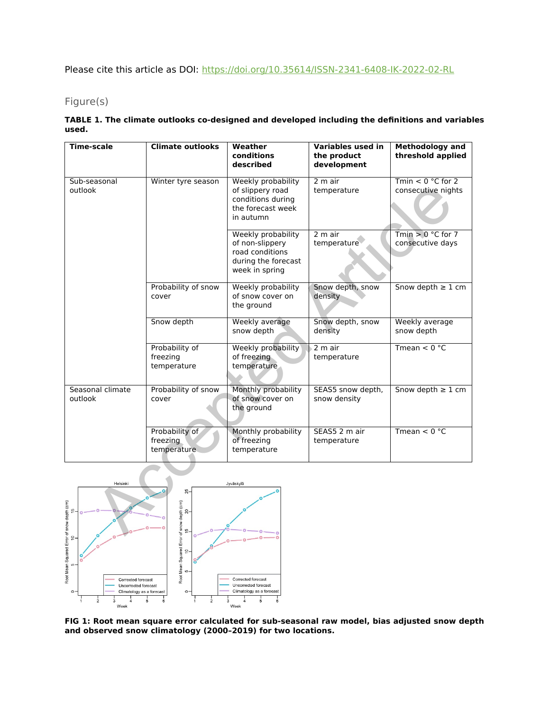Please cite this article as DOI: https://doi.org/10.35614/ISSN-2341-6408-IK-2022-02-RL

## Figure(s)

#### **TABLE 1. The climate outlooks co-designed and developed including the definitions and variables used.**

| <b>Time-scale</b>              | <b>Climate outlooks</b>                                                             | Weather<br>conditions                                                                                | <b>Variables used in</b><br>the product | <b>Methodology and</b><br>threshold applied |
|--------------------------------|-------------------------------------------------------------------------------------|------------------------------------------------------------------------------------------------------|-----------------------------------------|---------------------------------------------|
|                                |                                                                                     | described                                                                                            | development                             |                                             |
| Sub-seasonal<br>outlook        | Winter tyre season                                                                  | <b>Weekly probability</b><br>of slippery road<br>conditions during<br>the forecast week<br>in autumn | 2 m air<br>temperature                  | $Tmin < 0 °C$ for 2<br>consecutive nights   |
|                                |                                                                                     | Weekly probability<br>of non-slippery<br>road conditions<br>during the forecast<br>week in spring    | 2 m air<br>temperature                  | Tmin $> 0 °C$ for 7<br>consecutive days     |
|                                | Probability of snow<br>cover                                                        | Weekly probability<br>of snow cover on<br>the ground                                                 | Snow depth, snow<br>density             | Snow depth $\geq 1$ cm                      |
|                                | Snow depth                                                                          | Weekly average<br>snow depth                                                                         | Snow depth, snow<br>density             | Weekly average<br>snow depth                |
|                                | Probability of<br>freezing<br>temperature                                           | Weekly probability<br>of freezing<br>temperature                                                     | 2 m air<br>temperature                  | Tmean $< 0$ °C                              |
| Seasonal climate<br>outlook    | Probability of snow<br>cover                                                        | Monthly probability<br>of snow cover on<br>the ground                                                | SEAS5 snow depth,<br>snow density       | Snow depth $\geq 1$ cm                      |
|                                | Probability of<br>freezing<br>temperature.                                          | Monthly probability<br>of freezing<br>temperature                                                    | SEAS5 2 m air<br>temperature            | Tmean $< 0$ °C                              |
| Helsinki<br>of snow depth (cm) | $25 -$<br>f snow depth (cm)<br>15<br>$\begin{bmatrix} 20 \\ 1 \end{bmatrix}$<br>ية. | Jyväskylä                                                                                            |                                         |                                             |



**FIG 1: Root mean square error calculated for sub-seasonal raw model, bias adjusted snow depth and observed snow climatology (2000–2019) for two locations.**